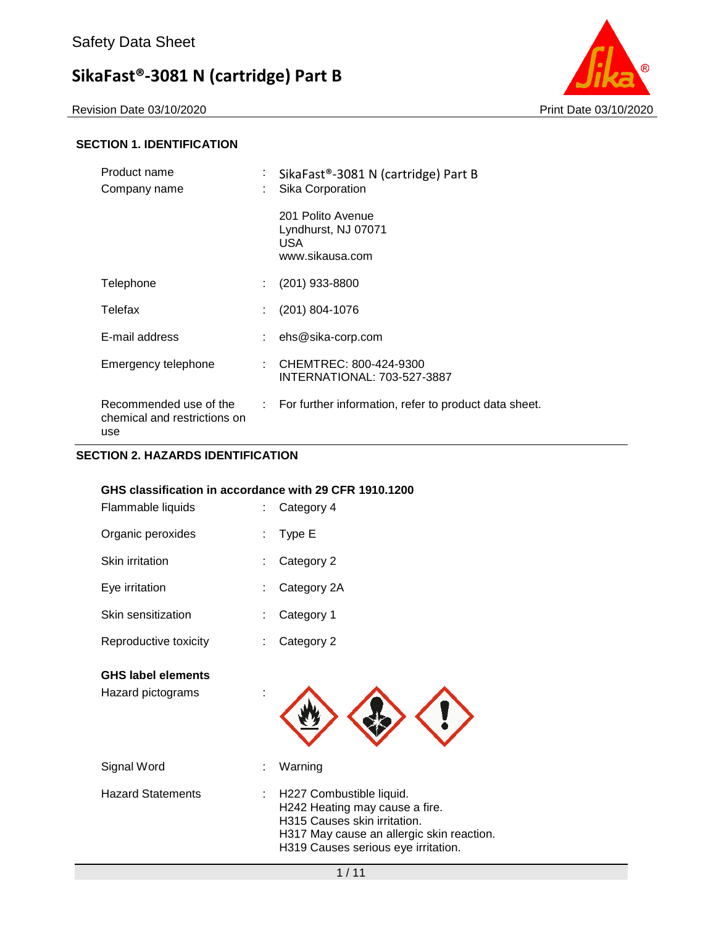Revision Date 03/10/2020 Print Date 03/10/2020



### **SECTION 1. IDENTIFICATION**

| Product name<br>Company name                                  | ÷ | SikaFast®-3081 N (cartridge) Part B<br>Sika Corporation             |
|---------------------------------------------------------------|---|---------------------------------------------------------------------|
|                                                               |   | 201 Polito Avenue<br>Lyndhurst, NJ 07071<br>USA.<br>www.sikausa.com |
| Telephone                                                     |   | (201) 933-8800                                                      |
| Telefax                                                       |   | (201) 804-1076                                                      |
| E-mail address                                                |   | ehs@sika-corp.com                                                   |
| Emergency telephone                                           |   | CHEMTREC: 800-424-9300<br><b>INTERNATIONAL: 703-527-3887</b>        |
| Recommended use of the<br>chemical and restrictions on<br>use |   | $\therefore$ For further information, refer to product data sheet.  |

### **SECTION 2. HAZARDS IDENTIFICATION**

### **GHS classification in accordance with 29 CFR 1910.1200**

| <b>GHS label elements</b><br>Hazard pictograms |    |             |
|------------------------------------------------|----|-------------|
| Reproductive toxicity                          |    | Category 2  |
| Skin sensitization                             |    | Category 1  |
| Eye irritation                                 | t. | Category 2A |
| Skin irritation                                | ÷. | Category 2  |
| Organic peroxides                              | ÷  | Type E      |
| Flammable liquids                              | t. | Category 4  |

| : H227 Combustible liquid.<br><b>Hazard Statements</b><br>H242 Heating may cause a fire.<br>H315 Causes skin irritation.<br>H319 Causes serious eye irritation. | Signal Word | : Warning                                 |
|-----------------------------------------------------------------------------------------------------------------------------------------------------------------|-------------|-------------------------------------------|
|                                                                                                                                                                 |             | H317 May cause an allergic skin reaction. |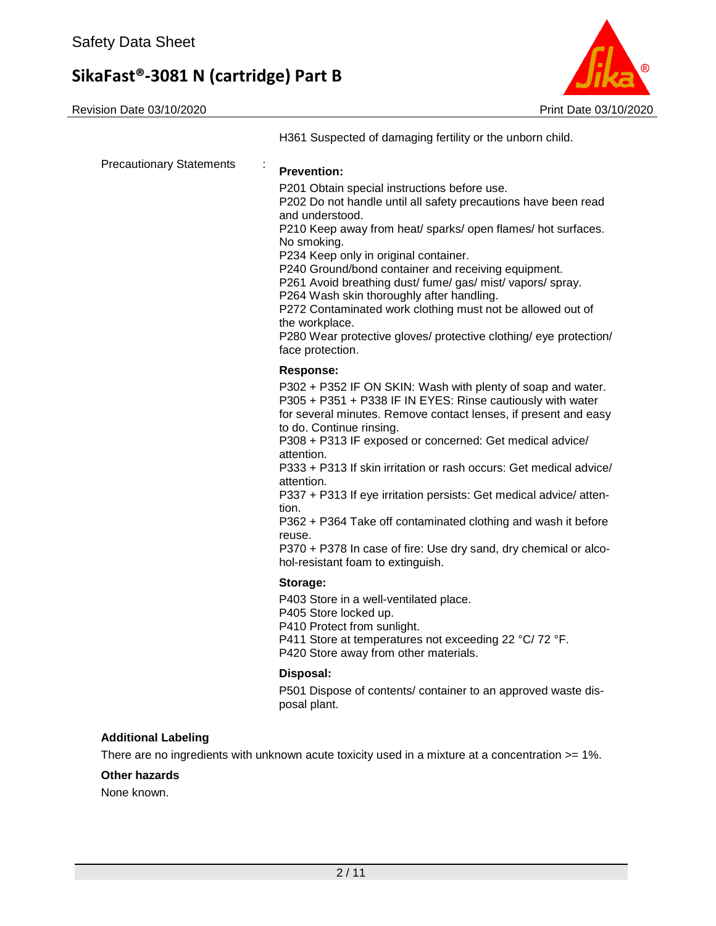Revision Date 03/10/2020 **Print Date 03/10/2020** 



|                                      | H361 Suspected of damaging fertility or the unborn child.                                                                                                                                                                                                                                                                                                                                                                                                                                                                                                                                                                                                                     |
|--------------------------------------|-------------------------------------------------------------------------------------------------------------------------------------------------------------------------------------------------------------------------------------------------------------------------------------------------------------------------------------------------------------------------------------------------------------------------------------------------------------------------------------------------------------------------------------------------------------------------------------------------------------------------------------------------------------------------------|
| <b>Precautionary Statements</b><br>÷ | <b>Prevention:</b><br>P201 Obtain special instructions before use.<br>P202 Do not handle until all safety precautions have been read<br>and understood.<br>P210 Keep away from heat/ sparks/ open flames/ hot surfaces.<br>No smoking.<br>P234 Keep only in original container.<br>P240 Ground/bond container and receiving equipment.<br>P261 Avoid breathing dust/ fume/ gas/ mist/ vapors/ spray.<br>P264 Wash skin thoroughly after handling.<br>P272 Contaminated work clothing must not be allowed out of<br>the workplace.<br>P280 Wear protective gloves/ protective clothing/ eye protection/<br>face protection.                                                    |
|                                      | <b>Response:</b><br>P302 + P352 IF ON SKIN: Wash with plenty of soap and water.<br>P305 + P351 + P338 IF IN EYES: Rinse cautiously with water<br>for several minutes. Remove contact lenses, if present and easy<br>to do. Continue rinsing.<br>P308 + P313 IF exposed or concerned: Get medical advice/<br>attention.<br>P333 + P313 If skin irritation or rash occurs: Get medical advice/<br>attention.<br>P337 + P313 If eye irritation persists: Get medical advice/ atten-<br>tion.<br>P362 + P364 Take off contaminated clothing and wash it before<br>reuse.<br>P370 + P378 In case of fire: Use dry sand, dry chemical or alco-<br>hol-resistant foam to extinguish. |
|                                      | Storage:<br>P403 Store in a well-ventilated place.<br>P405 Store locked up.<br>P410 Protect from sunlight.<br>P411 Store at temperatures not exceeding 22 °C/72 °F.<br>P420 Store away from other materials.<br>Disposal:                                                                                                                                                                                                                                                                                                                                                                                                                                                     |
|                                      | P501 Dispose of contents/ container to an approved waste dis-<br>posal plant.                                                                                                                                                                                                                                                                                                                                                                                                                                                                                                                                                                                                 |

### **Additional Labeling**

There are no ingredients with unknown acute toxicity used in a mixture at a concentration >= 1%.

### **Other hazards**

None known.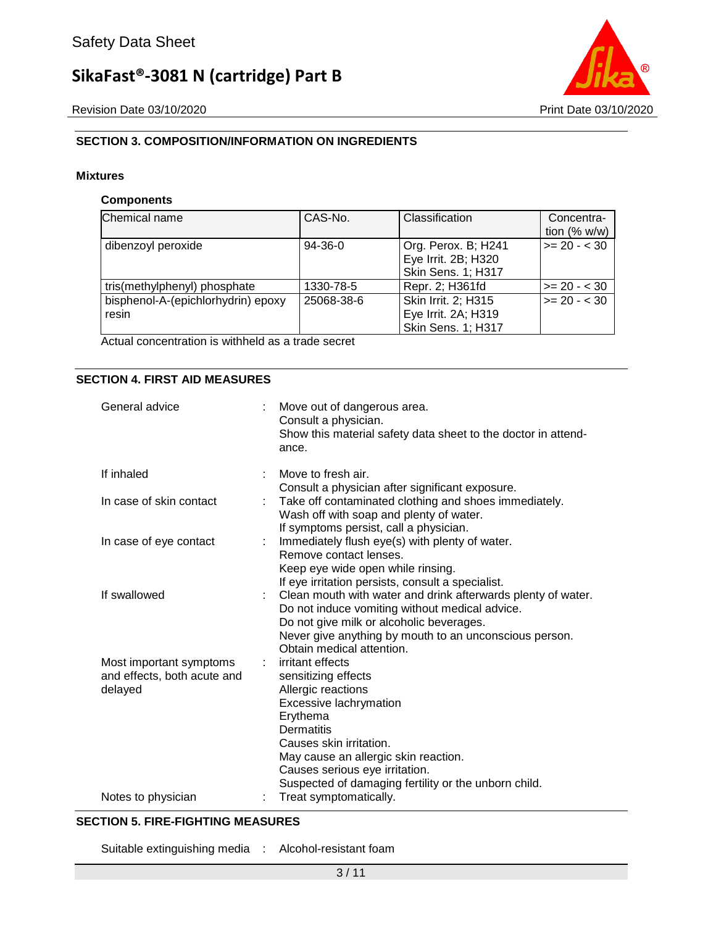

# **SECTION 3. COMPOSITION/INFORMATION ON INGREDIENTS**

#### **Mixtures**

#### **Components**

| Chemical name                               | CAS-No.    | Classification                                                          | Concentra-<br>tion $(% w/w)$ |
|---------------------------------------------|------------|-------------------------------------------------------------------------|------------------------------|
| dibenzoyl peroxide                          | $94-36-0$  | Org. Perox. B; H241<br>Eye Irrit. 2B; H320<br><b>Skin Sens. 1; H317</b> | $>= 20 - < 30$               |
| tris(methylphenyl) phosphate                | 1330-78-5  | Repr. 2; H361fd                                                         | $>= 20 - < 30$               |
| bisphenol-A-(epichlorhydrin) epoxy<br>resin | 25068-38-6 | Skin Irrit. 2; H315<br>Eye Irrit. 2A; H319<br><b>Skin Sens. 1; H317</b> | $>= 20 - 30$                 |

Actual concentration is withheld as a trade secret

### **SECTION 4. FIRST AID MEASURES**

| General advice                                                    | Move out of dangerous area.<br>Consult a physician.<br>Show this material safety data sheet to the doctor in attend-<br>ance.                                                                                                                                                                                      |
|-------------------------------------------------------------------|--------------------------------------------------------------------------------------------------------------------------------------------------------------------------------------------------------------------------------------------------------------------------------------------------------------------|
| If inhaled                                                        | Move to fresh air.<br>Consult a physician after significant exposure.                                                                                                                                                                                                                                              |
| In case of skin contact                                           | Take off contaminated clothing and shoes immediately.<br>Wash off with soap and plenty of water.                                                                                                                                                                                                                   |
| In case of eye contact<br>÷                                       | If symptoms persist, call a physician.<br>Immediately flush eye(s) with plenty of water.<br>Remove contact lenses.                                                                                                                                                                                                 |
|                                                                   | Keep eye wide open while rinsing.<br>If eye irritation persists, consult a specialist.                                                                                                                                                                                                                             |
| If swallowed                                                      | : Clean mouth with water and drink afterwards plenty of water.<br>Do not induce vomiting without medical advice.<br>Do not give milk or alcoholic beverages.<br>Never give anything by mouth to an unconscious person.                                                                                             |
| Most important symptoms<br>and effects, both acute and<br>delayed | Obtain medical attention.<br>irritant effects<br>sensitizing effects<br>Allergic reactions<br>Excessive lachrymation<br>Erythema<br><b>Dermatitis</b><br>Causes skin irritation.<br>May cause an allergic skin reaction.<br>Causes serious eye irritation.<br>Suspected of damaging fertility or the unborn child. |
| Notes to physician                                                | Treat symptomatically.                                                                                                                                                                                                                                                                                             |

#### **SECTION 5. FIRE-FIGHTING MEASURES**

Suitable extinguishing media : Alcohol-resistant foam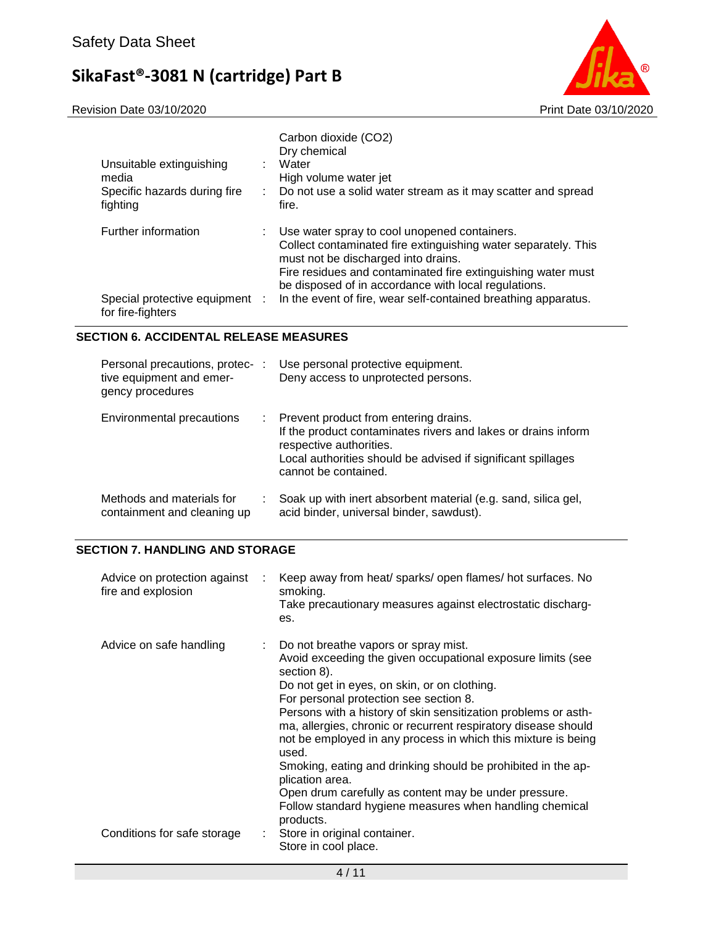Revision Date 03/10/2020 Print Date 03/10/2020



| Unsuitable extinguishing<br>media<br>Specific hazards during fire<br>fighting | Carbon dioxide (CO2)<br>Dry chemical<br>: Water<br>High volume water jet<br>: Do not use a solid water stream as it may scatter and spread<br>fire.                                                                                                                                                                                               |
|-------------------------------------------------------------------------------|---------------------------------------------------------------------------------------------------------------------------------------------------------------------------------------------------------------------------------------------------------------------------------------------------------------------------------------------------|
| Further information<br>Special protective equipment :<br>for fire-fighters    | : Use water spray to cool unopened containers.<br>Collect contaminated fire extinguishing water separately. This<br>must not be discharged into drains.<br>Fire residues and contaminated fire extinguishing water must<br>be disposed of in accordance with local regulations.<br>In the event of fire, wear self-contained breathing apparatus. |

# **SECTION 6. ACCIDENTAL RELEASE MEASURES**

| Personal precautions, protec- :<br>tive equipment and emer-<br>gency procedures |   | Use personal protective equipment.<br>Deny access to unprotected persons.                                                                                                                                                 |
|---------------------------------------------------------------------------------|---|---------------------------------------------------------------------------------------------------------------------------------------------------------------------------------------------------------------------------|
| Environmental precautions                                                       | ÷ | Prevent product from entering drains.<br>If the product contaminates rivers and lakes or drains inform<br>respective authorities.<br>Local authorities should be advised if significant spillages<br>cannot be contained. |
| Methods and materials for<br>containment and cleaning up                        |   | Soak up with inert absorbent material (e.g. sand, silica gel,<br>acid binder, universal binder, sawdust).                                                                                                                 |

# **SECTION 7. HANDLING AND STORAGE**

| Advice on protection against<br>fire and explosion | $\sim$ | Keep away from heat/ sparks/ open flames/ hot surfaces. No<br>smoking.<br>Take precautionary measures against electrostatic discharg-<br>es.                                                                                                                                                                                                                                                                                                                                                                                                                                                                                                     |
|----------------------------------------------------|--------|--------------------------------------------------------------------------------------------------------------------------------------------------------------------------------------------------------------------------------------------------------------------------------------------------------------------------------------------------------------------------------------------------------------------------------------------------------------------------------------------------------------------------------------------------------------------------------------------------------------------------------------------------|
| Advice on safe handling                            |        | : Do not breathe vapors or spray mist.<br>Avoid exceeding the given occupational exposure limits (see<br>section 8).<br>Do not get in eyes, on skin, or on clothing.<br>For personal protection see section 8.<br>Persons with a history of skin sensitization problems or asth-<br>ma, allergies, chronic or recurrent respiratory disease should<br>not be employed in any process in which this mixture is being<br>used.<br>Smoking, eating and drinking should be prohibited in the ap-<br>plication area.<br>Open drum carefully as content may be under pressure.<br>Follow standard hygiene measures when handling chemical<br>products. |
| Conditions for safe storage                        |        | : Store in original container.<br>Store in cool place.                                                                                                                                                                                                                                                                                                                                                                                                                                                                                                                                                                                           |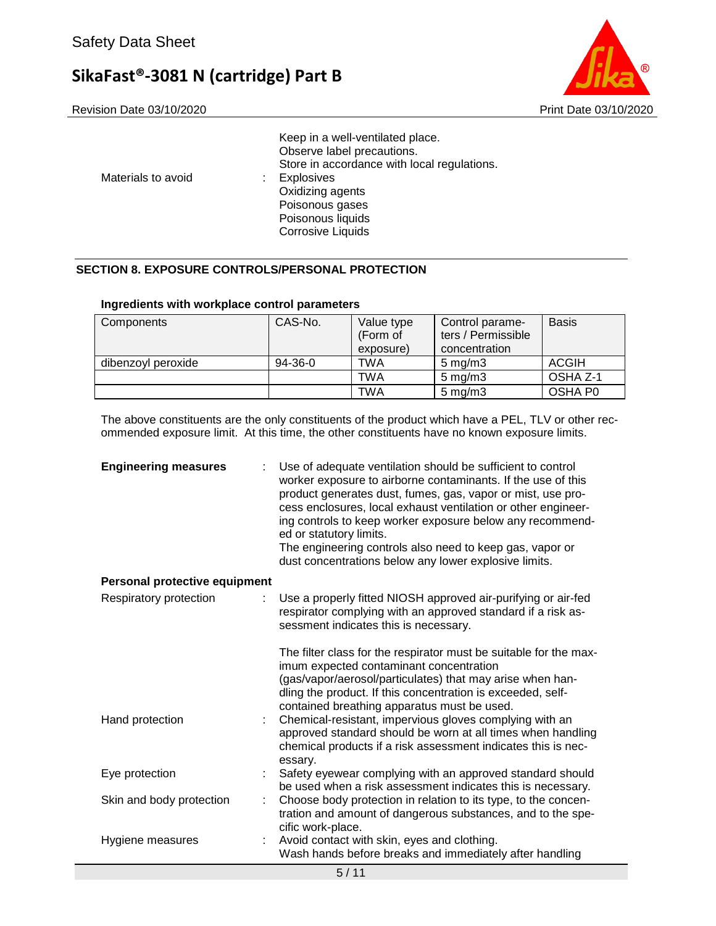



| Poisonous gases<br>Poisonous liquids<br><b>Corrosive Liquids</b> | Materials to avoid | Keep in a well-ventilated place.<br>Observe label precautions.<br>Store in accordance with local regulations.<br><b>Explosives</b><br>Oxidizing agents |
|------------------------------------------------------------------|--------------------|--------------------------------------------------------------------------------------------------------------------------------------------------------|
|------------------------------------------------------------------|--------------------|--------------------------------------------------------------------------------------------------------------------------------------------------------|

# **SECTION 8. EXPOSURE CONTROLS/PERSONAL PROTECTION**

| Components         | CAS-No. | Value type<br>(Form of<br>exposure) | Control parame-<br>ters / Permissible<br>concentration | <b>Basis</b> |
|--------------------|---------|-------------------------------------|--------------------------------------------------------|--------------|
| dibenzoyl peroxide | 94-36-0 | TWA                                 | $5 \text{ mg/m}$ 3                                     | <b>ACGIH</b> |
|                    |         | TWA                                 | $5 \text{ mg/m}$ 3                                     | OSHA Z-1     |
|                    |         | TWA                                 | $5 \text{ mg/m}$ 3                                     | OSHA P0      |

The above constituents are the only constituents of the product which have a PEL, TLV or other recommended exposure limit. At this time, the other constituents have no known exposure limits.

| <b>Engineering measures</b>   | Use of adequate ventilation should be sufficient to control<br>worker exposure to airborne contaminants. If the use of this<br>product generates dust, fumes, gas, vapor or mist, use pro-<br>cess enclosures, local exhaust ventilation or other engineer-<br>ing controls to keep worker exposure below any recommend-<br>ed or statutory limits.<br>The engineering controls also need to keep gas, vapor or<br>dust concentrations below any lower explosive limits. |
|-------------------------------|--------------------------------------------------------------------------------------------------------------------------------------------------------------------------------------------------------------------------------------------------------------------------------------------------------------------------------------------------------------------------------------------------------------------------------------------------------------------------|
| Personal protective equipment |                                                                                                                                                                                                                                                                                                                                                                                                                                                                          |
| Respiratory protection        | Use a properly fitted NIOSH approved air-purifying or air-fed<br>respirator complying with an approved standard if a risk as-<br>sessment indicates this is necessary.                                                                                                                                                                                                                                                                                                   |
|                               | The filter class for the respirator must be suitable for the max-<br>imum expected contaminant concentration<br>(gas/vapor/aerosol/particulates) that may arise when han-<br>dling the product. If this concentration is exceeded, self-<br>contained breathing apparatus must be used.                                                                                                                                                                                  |
| Hand protection               | Chemical-resistant, impervious gloves complying with an<br>approved standard should be worn at all times when handling<br>chemical products if a risk assessment indicates this is nec-<br>essary.                                                                                                                                                                                                                                                                       |
| Eye protection                | Safety eyewear complying with an approved standard should<br>be used when a risk assessment indicates this is necessary.                                                                                                                                                                                                                                                                                                                                                 |
| Skin and body protection<br>t | Choose body protection in relation to its type, to the concen-<br>tration and amount of dangerous substances, and to the spe-<br>cific work-place.                                                                                                                                                                                                                                                                                                                       |
| Hygiene measures              | Avoid contact with skin, eyes and clothing.<br>Wash hands before breaks and immediately after handling                                                                                                                                                                                                                                                                                                                                                                   |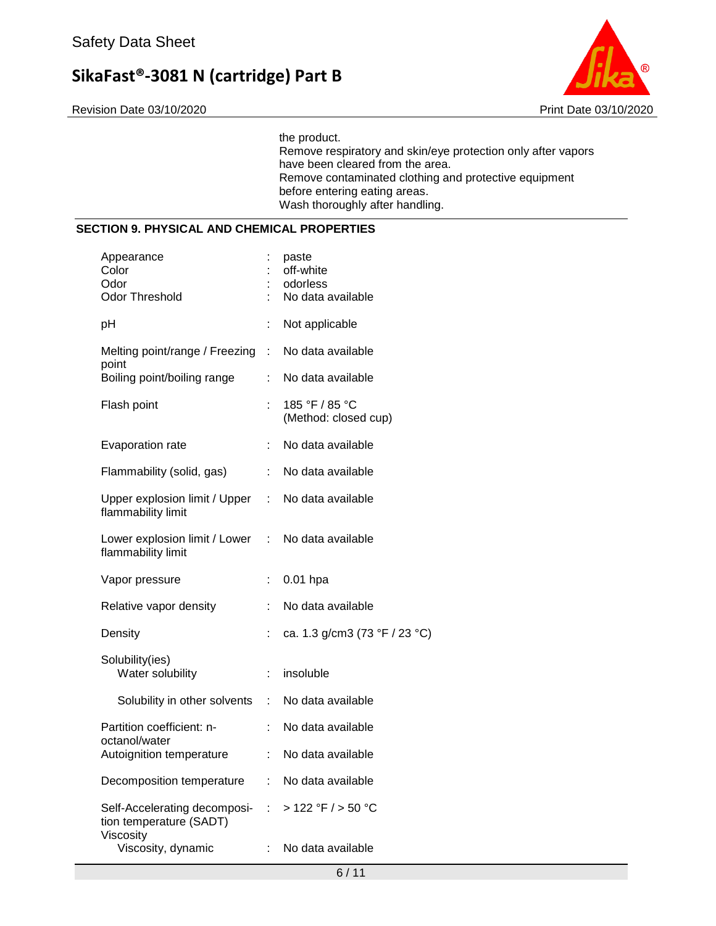Revision Date 03/10/2020 Print Date 03/10/2020



the product. Remove respiratory and skin/eye protection only after vapors have been cleared from the area. Remove contaminated clothing and protective equipment before entering eating areas. Wash thoroughly after handling.

### **SECTION 9. PHYSICAL AND CHEMICAL PROPERTIES**

| Appearance<br>Color<br>Odor<br><b>Odor Threshold</b>                 |                           | paste<br>off-white<br>odorless<br>No data available |
|----------------------------------------------------------------------|---------------------------|-----------------------------------------------------|
| pH                                                                   | t                         | Not applicable                                      |
| Melting point/range / Freezing<br>point                              | t.                        | No data available                                   |
| Boiling point/boiling range                                          | t.                        | No data available                                   |
| Flash point                                                          |                           | 185 °F / 85 °C<br>(Method: closed cup)              |
| Evaporation rate                                                     | ÷                         | No data available                                   |
| Flammability (solid, gas)                                            | t.                        | No data available                                   |
| Upper explosion limit / Upper<br>flammability limit                  | ÷.                        | No data available                                   |
| Lower explosion limit / Lower<br>flammability limit                  | $\mathbb{Z}^{\mathbb{Z}}$ | No data available                                   |
| Vapor pressure                                                       | t.                        | $0.01$ hpa                                          |
| Relative vapor density                                               | ÷                         | No data available                                   |
| Density                                                              |                           | ca. 1.3 g/cm3 (73 °F / 23 °C)                       |
| Solubility(ies)<br>Water solubility                                  |                           | insoluble                                           |
| Solubility in other solvents                                         | ÷                         | No data available                                   |
| Partition coefficient: n-<br>octanol/water                           | t.                        | No data available                                   |
| Autoignition temperature                                             | ÷                         | No data available                                   |
| Decomposition temperature                                            | t.                        | No data available                                   |
| Self-Accelerating decomposi-<br>tion temperature (SADT)<br>Viscosity | $\mathbb{Z}^{\mathbb{Z}}$ | >122 °F / > 50 °C                                   |
| Viscosity, dynamic                                                   | $\mathbb{R}^{\mathbb{Z}}$ | No data available                                   |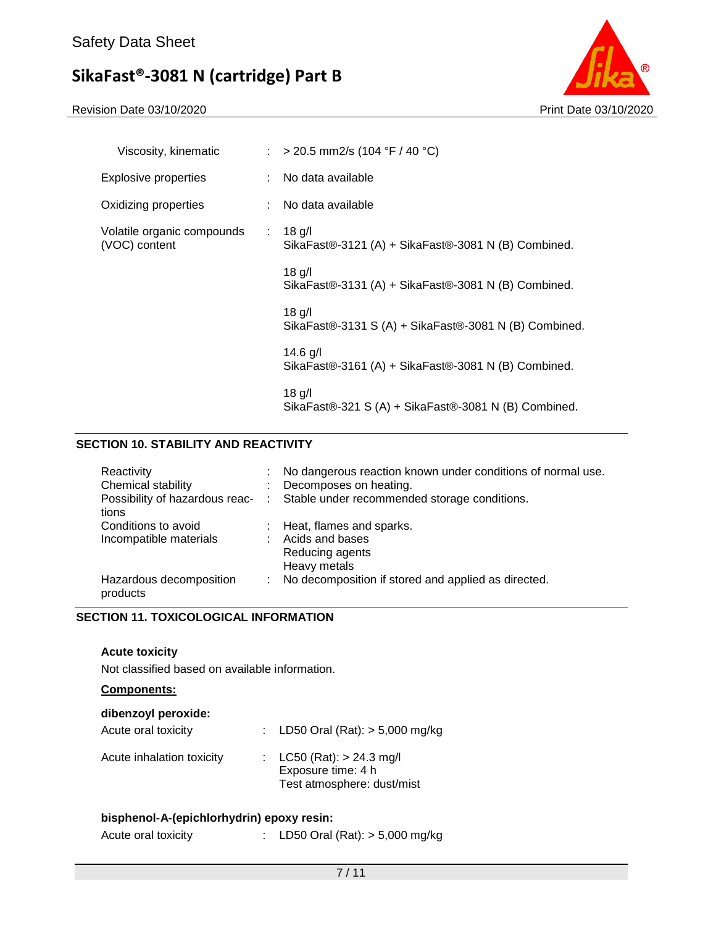Revision Date 03/10/2020 Print Date 03/10/2020



| Viscosity, kinematic                        | : > 20.5 mm2/s (104 °F / 40 °C)                                   |
|---------------------------------------------|-------------------------------------------------------------------|
| <b>Explosive properties</b>                 | : No data available                                               |
| Oxidizing properties                        | : No data available                                               |
| Volatile organic compounds<br>(VOC) content | $: 18$ g/l<br>SikaFast®-3121 (A) + SikaFast®-3081 N (B) Combined. |
|                                             | $18$ g/l<br>SikaFast®-3131 (A) + SikaFast®-3081 N (B) Combined.   |
|                                             | $18$ g/l<br>SikaFast®-3131 S (A) + SikaFast®-3081 N (B) Combined. |
|                                             | $14.6$ g/l<br>SikaFast®-3161 (A) + SikaFast®-3081 N (B) Combined. |
|                                             | $18$ g/l<br>SikaFast®-321 S (A) + SikaFast®-3081 N (B) Combined.  |

# **SECTION 10. STABILITY AND REACTIVITY**

| Reactivity<br>Chemical stability<br>tions     | No dangerous reaction known under conditions of normal use.<br>Decomposes on heating.<br>Possibility of hazardous reac- : Stable under recommended storage conditions. |
|-----------------------------------------------|------------------------------------------------------------------------------------------------------------------------------------------------------------------------|
| Conditions to avoid<br>Incompatible materials | : Heat, flames and sparks.<br>: Acids and bases<br>Reducing agents<br>Heavy metals                                                                                     |
| Hazardous decomposition<br>products           | : No decomposition if stored and applied as directed.                                                                                                                  |

# **SECTION 11. TOXICOLOGICAL INFORMATION**

### **Acute toxicity**

Not classified based on available information.

# **Components:**

| dibenzoyl peroxide:       |                                                                                 |
|---------------------------|---------------------------------------------------------------------------------|
| Acute oral toxicity       | : LD50 Oral (Rat): $> 5,000$ mg/kg                                              |
| Acute inhalation toxicity | : $LC50 (Rat): > 24.3 mg/l$<br>Exposure time: 4 h<br>Test atmosphere: dust/mist |

### **bisphenol-A-(epichlorhydrin) epoxy resin:**

| Acute oral toxicity |  |  | LD50 Oral $(Rat):$ > 5,000 mg/kg |
|---------------------|--|--|----------------------------------|
|---------------------|--|--|----------------------------------|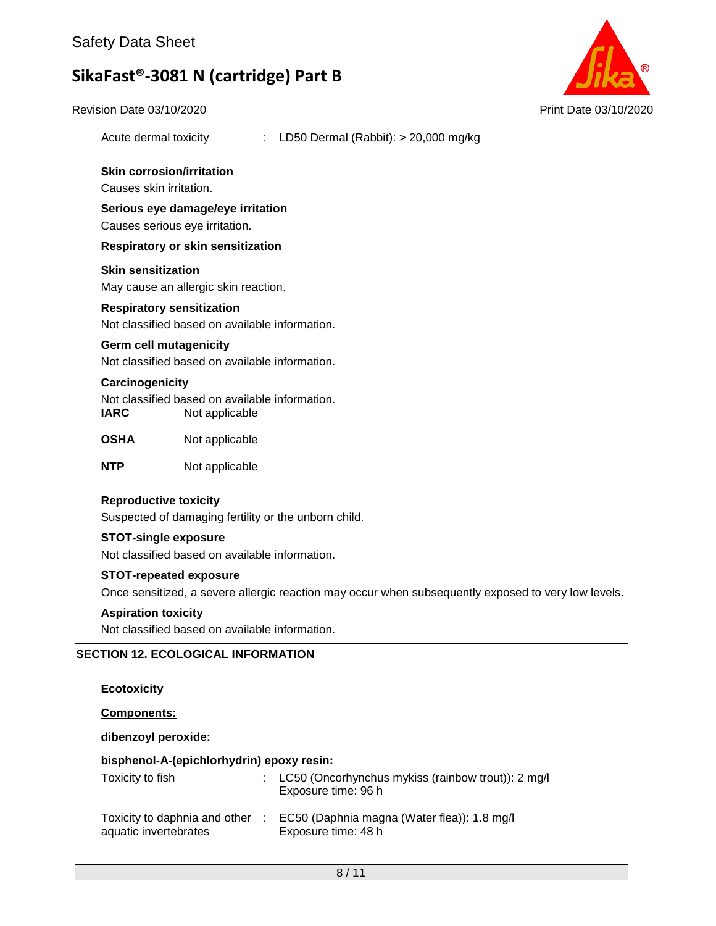

| Revision Date 03/10/2020   | Print Date 03/10/2020                                                                               |  |
|----------------------------|-----------------------------------------------------------------------------------------------------|--|
| Acute dermal toxicity      | LD50 Dermal (Rabbit): $> 20,000$ mg/kg                                                              |  |
| Causes skin irritation.    | <b>Skin corrosion/irritation</b>                                                                    |  |
|                            |                                                                                                     |  |
|                            | Serious eye damage/eye irritation                                                                   |  |
|                            | Causes serious eye irritation.                                                                      |  |
|                            | <b>Respiratory or skin sensitization</b>                                                            |  |
| <b>Skin sensitization</b>  |                                                                                                     |  |
|                            | May cause an allergic skin reaction.                                                                |  |
|                            | <b>Respiratory sensitization</b>                                                                    |  |
|                            | Not classified based on available information.                                                      |  |
|                            | <b>Germ cell mutagenicity</b>                                                                       |  |
|                            | Not classified based on available information.                                                      |  |
| Carcinogenicity            |                                                                                                     |  |
| <b>IARC</b>                | Not classified based on available information.<br>Not applicable                                    |  |
| <b>OSHA</b>                | Not applicable                                                                                      |  |
| <b>NTP</b>                 | Not applicable                                                                                      |  |
|                            | <b>Reproductive toxicity</b>                                                                        |  |
|                            | Suspected of damaging fertility or the unborn child.                                                |  |
|                            | <b>STOT-single exposure</b>                                                                         |  |
|                            | Not classified based on available information.                                                      |  |
|                            | <b>STOT-repeated exposure</b>                                                                       |  |
|                            | Once sensitized, a severe allergic reaction may occur when subsequently exposed to very low levels. |  |
| <b>Aspiration toxicity</b> |                                                                                                     |  |
|                            | Not classified based on available information.                                                      |  |

# **Ecotoxicity**

**Components:**

**dibenzoyl peroxide:**

# **bisphenol-A-(epichlorhydrin) epoxy resin:**

| Toxicity to fish                                         | : LC50 (Oncorhynchus mykiss (rainbow trout)): $2 \text{ mg/l}$<br>Exposure time: 96 h |
|----------------------------------------------------------|---------------------------------------------------------------------------------------|
| Toxicity to daphnia and other :<br>aquatic invertebrates | EC50 (Daphnia magna (Water flea)): 1.8 mg/l<br>Exposure time: 48 h                    |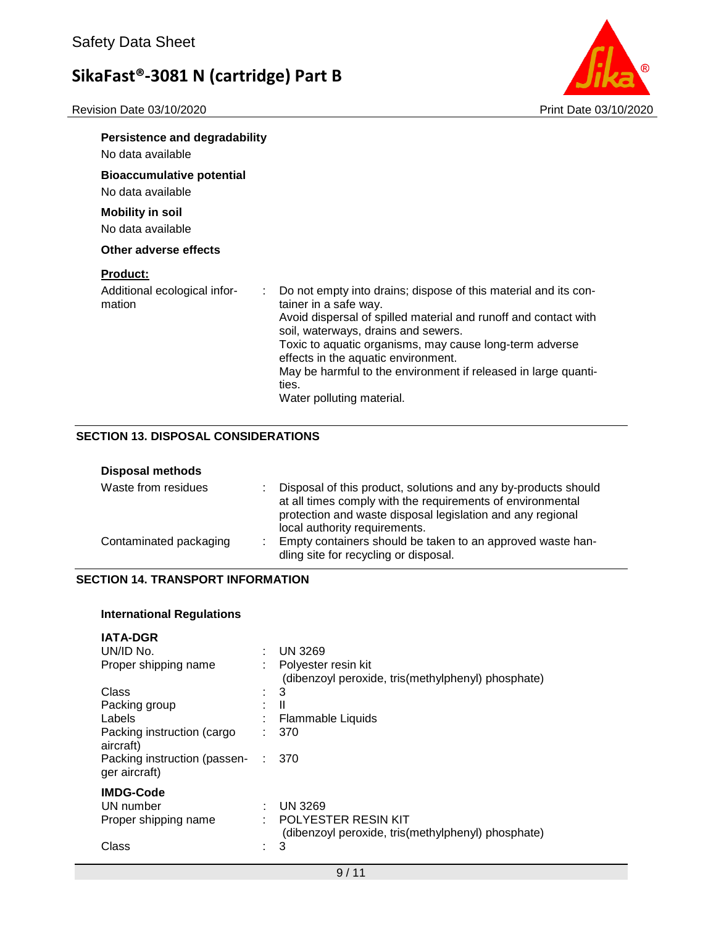

| <b>Persistence and degradability</b>   |                                                                                                           |
|----------------------------------------|-----------------------------------------------------------------------------------------------------------|
| No data available                      |                                                                                                           |
| <b>Bioaccumulative potential</b>       |                                                                                                           |
| No data available                      |                                                                                                           |
| <b>Mobility in soil</b>                |                                                                                                           |
| No data available                      |                                                                                                           |
| Other adverse effects                  |                                                                                                           |
| <b>Product:</b>                        |                                                                                                           |
| Additional ecological infor-<br>mation | Do not empty into drains; dispose of this material and its con-<br>$\mathcal{L}$<br>tainer in a safe way. |
|                                        | Avoid dispersal of spilled material and runoff and contact with<br>soil, waterways, drains and sewers.    |
|                                        | Toxic to aquatic organisms, may cause long-term adverse<br>effects in the aquatic environment.            |
|                                        | May be harmful to the environment if released in large quanti-<br>ties.                                   |
|                                        | Water polluting material.                                                                                 |

### **SECTION 13. DISPOSAL CONSIDERATIONS**

| <b>Disposal methods</b> |                                                                                                                                                                                                                               |
|-------------------------|-------------------------------------------------------------------------------------------------------------------------------------------------------------------------------------------------------------------------------|
| Waste from residues     | : Disposal of this product, solutions and any by-products should<br>at all times comply with the requirements of environmental<br>protection and waste disposal legislation and any regional<br>local authority requirements. |
| Contaminated packaging  | : Empty containers should be taken to an approved waste han-<br>dling site for recycling or disposal.                                                                                                                         |

# **SECTION 14. TRANSPORT INFORMATION**

# **International Regulations**

| <b>IATA-DGR</b>                               |   |                                                                           |
|-----------------------------------------------|---|---------------------------------------------------------------------------|
| UN/ID No.                                     | ٠ | <b>UN 3269</b>                                                            |
| Proper shipping name                          |   | Polyester resin kit<br>(dibenzoyl peroxide, tris(methylphenyl) phosphate) |
| Class                                         | ٠ | 3                                                                         |
| Packing group                                 |   | $\mathbf{I}$                                                              |
| Labels                                        |   | Flammable Liquids                                                         |
| Packing instruction (cargo<br>aircraft)       |   | 370                                                                       |
| Packing instruction (passen-<br>ger aircraft) |   | 370                                                                       |
| <b>IMDG-Code</b>                              |   |                                                                           |
| UN number                                     | ÷ | <b>UN 3269</b>                                                            |
| Proper shipping name                          |   | POLYESTER RESIN KIT<br>(dibenzoyl peroxide, tris(methylphenyl) phosphate) |
| Class                                         |   | 3                                                                         |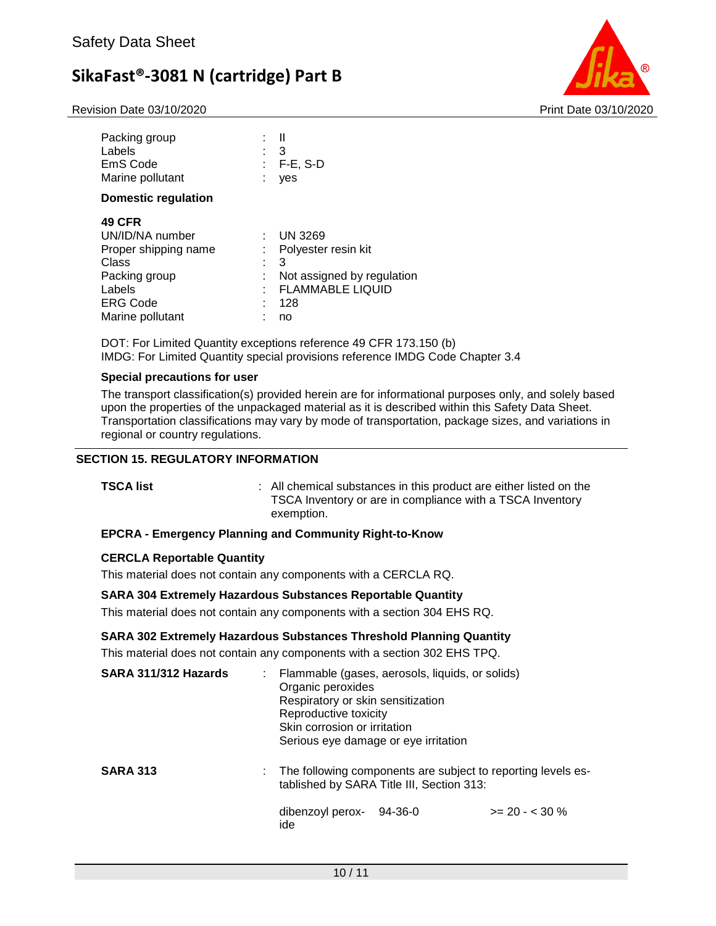Revision Date 03/10/2020 Print Date 03/10/2020



| Packing group<br>Labels<br>EmS Code<br>Marine pollutant                                                   | 3<br>$F-E$ , S-D<br>ves                                                       |
|-----------------------------------------------------------------------------------------------------------|-------------------------------------------------------------------------------|
| Domestic regulation<br><b>49 CFR</b><br>UN/ID/NA number<br>Proper shipping name<br>Class<br>Packing group | <b>UN 3269</b><br>Polyester resin kit<br>3<br>٠<br>Not assigned by regulation |
| Labels<br><b>ERG Code</b><br>Marine pollutant                                                             | <b>FLAMMABLE LIQUID</b><br>128<br>no                                          |

DOT: For Limited Quantity exceptions reference 49 CFR 173.150 (b) IMDG: For Limited Quantity special provisions reference IMDG Code Chapter 3.4

#### **Special precautions for user**

The transport classification(s) provided herein are for informational purposes only, and solely based upon the properties of the unpackaged material as it is described within this Safety Data Sheet. Transportation classifications may vary by mode of transportation, package sizes, and variations in regional or country regulations.

### **SECTION 15. REGULATORY INFORMATION**

**TEC** All chemical substances in this product are either listed on the TSCA Inventory or are in compliance with a TSCA Inventory exemption.

#### **EPCRA - Emergency Planning and Community Right-to-Know**

#### **CERCLA Reportable Quantity**

This material does not contain any components with a CERCLA RQ.

#### **SARA 304 Extremely Hazardous Substances Reportable Quantity**

This material does not contain any components with a section 304 EHS RQ.

#### **SARA 302 Extremely Hazardous Substances Threshold Planning Quantity**

This material does not contain any components with a section 302 EHS TPQ.

ide

| SARA 311/312 Hazards | : Flammable (gases, aerosols, liquids, or solids)<br>Organic peroxides<br>Respiratory or skin sensitization<br>Reproductive toxicity<br>Skin corrosion or irritation<br>Serious eye damage or eye irritation |  |                 |
|----------------------|--------------------------------------------------------------------------------------------------------------------------------------------------------------------------------------------------------------|--|-----------------|
| <b>SARA 313</b>      | : The following components are subject to reporting levels es-<br>tablished by SARA Title III, Section 313:                                                                                                  |  |                 |
|                      | dibenzoyl perox-<br>94-36-0                                                                                                                                                                                  |  | $>= 20 - 530 %$ |